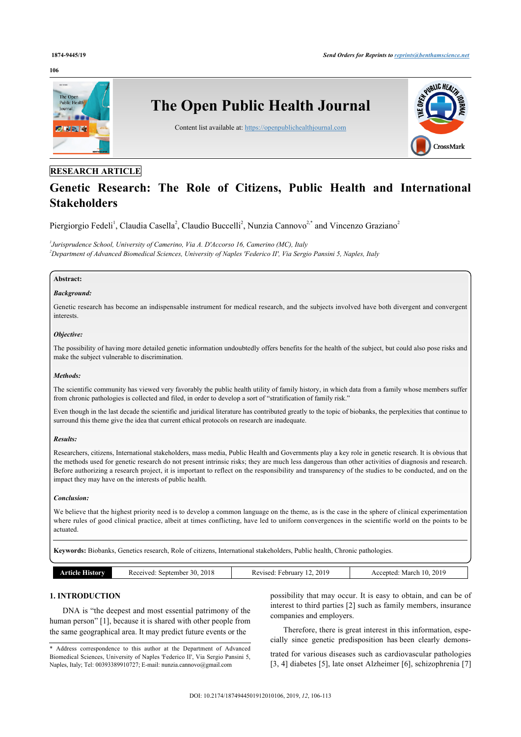#### **106**



## **RESEARCH ARTICLE**

# **Genetic Research: The Role of Citizens, Public Health and International Stakeholders**

Piergiorgio Fedeli<sup>[1](#page-0-0)</sup>, Claudia Casella<sup>[2](#page-0-1)</sup>, Claudio Buccelli<sup>2</sup>, Nunzia Cannovo<sup>2,[\\*](#page-0-2)</sup> and Vincenzo Graziano<sup>2</sup>

<span id="page-0-1"></span><span id="page-0-0"></span>*1 Jurisprudence School, University of Camerino, Via A. D'Accorso 16, Camerino (MC), Italy <sup>2</sup>Department of Advanced Biomedical Sciences, University of Naples 'Federico II', Via Sergio Pansini 5, Naples, Italy*

### **Abstract:**

### *Background:*

Genetic research has become an indispensable instrument for medical research, and the subjects involved have both divergent and convergent interests.

#### *Objective:*

The possibility of having more detailed genetic information undoubtedly offers benefits for the health of the subject, but could also pose risks and make the subject vulnerable to discrimination.

#### *Methods:*

The scientific community has viewed very favorably the public health utility of family history, in which data from a family whose members suffer from chronic pathologies is collected and filed, in order to develop a sort of "stratification of family risk."

Even though in the last decade the scientific and juridical literature has contributed greatly to the topic of biobanks, the perplexities that continue to surround this theme give the idea that current ethical protocols on research are inadequate.

#### *Results:*

Researchers, citizens, International stakeholders, mass media, Public Health and Governments play a key role in genetic research. It is obvious that the methods used for genetic research do not present intrinsic risks; they are much less dangerous than other activities of diagnosis and research. Before authorizing a research project, it is important to reflect on the responsibility and transparency of the studies to be conducted, and on the impact they may have on the interests of public health.

#### *Conclusion:*

We believe that the highest priority need is to develop a common language on the theme, as is the case in the sphere of clinical experimentation where rules of good clinical practice, albeit at times conflicting, have led to uniform convergences in the scientific world on the points to be actuated.

**Keywords:** Biobanks, Genetics research, Role of citizens, International stakeholders, Public health, Chronic pathologies.

| Article History | 2018<br>Received: September 30. | 2019<br>Revised:<br>February. | 2019<br>March 10.<br>Accepted: |
|-----------------|---------------------------------|-------------------------------|--------------------------------|

### **1. INTRODUCTION**

DNA is "the deepest and most essential patrimony of the human person" [\[1\]](#page-5-0), because it is shared with other people from the same geographical area. It may predict future events or the

<span id="page-0-2"></span>\* Address correspondence to this author at the Department of Advanced Biomedical Sciences, University of Naples 'Federico II', Via Sergio Pansini 5, Naples, Italy; Tel: 00393389910727; E-mail: [nunzia.cannovo@gmail.com](mailto:nunzia.cannovo@gmail.com)

possibility that may occur. It is easy to obtain, and can be of interest to third parties [[2](#page-5-1)] such as family members, insurance companies and employers.

Therefore, there is great interest in this information, especially since genetic predisposition has been clearly demons-

trated for various diseases such as cardiovascular pathologies [[3,](#page-5-2) [4](#page-6-0)] diabetes [\[5\]](#page-6-1), late onset Alzheimer [[6\]](#page-6-2), schizophrenia [[7\]](#page-6-3)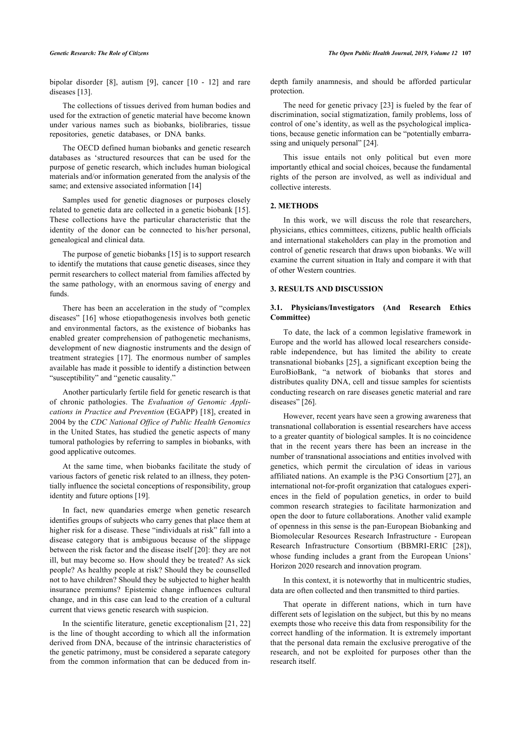bipolar disorder[[8](#page-6-4)], autism [\[9\]](#page-6-5), cancer[[10](#page-6-6) - [12](#page-6-7)] and rare diseases [\[13](#page-6-8)].

The collections of tissues derived from human bodies and used for the extraction of genetic material have become known under various names such as biobanks, biolibraries, tissue repositories, genetic databases, or DNA banks.

The OECD defined human biobanks and genetic research databases as 'structured resources that can be used for the purpose of genetic research, which includes human biological materials and/or information generated from the analysis of the same; and extensive associated information [\[14](#page-6-9)]

Samples used for genetic diagnoses or purposes closely related to genetic data are collected in a genetic biobank [[15\]](#page-6-10). These collections have the particular characteristic that the identity of the donor can be connected to his/her personal, genealogical and clinical data.

The purpose of genetic biobanks [[15\]](#page-6-10) is to support research to identify the mutations that cause genetic diseases, since they permit researchers to collect material from families affected by the same pathology, with an enormous saving of energy and funds.

There has been an acceleration in the study of "complex diseases" [[16\]](#page-6-11) whose etiopathogenesis involves both genetic and environmental factors, as the existence of biobanks has enabled greater comprehension of pathogenetic mechanisms, development of new diagnostic instruments and the design of treatment strategies[[17](#page-6-12)]. The enormous number of samples available has made it possible to identify a distinction between "susceptibility" and "genetic causality."

Another particularly fertile field for genetic research is that of chronic pathologies. The *Evaluation of Genomic Applications in Practice and Prevention* (EGAPP) [[18](#page-6-13)], created in 2004 by the *CDC National Office of Public Health Genomics* in the United States, has studied the genetic aspects of many tumoral pathologies by referring to samples in biobanks, with good applicative outcomes.

At the same time, when biobanks facilitate the study of various factors of genetic risk related to an illness, they potentially influence the societal conceptions of responsibility, group identity and future options [\[19](#page-6-14)].

In fact, new quandaries emerge when genetic research identifies groups of subjects who carry genes that place them at higher risk for a disease. These "individuals at risk" fall into a disease category that is ambiguous because of the slippage between the risk factor and the disease itself [[20\]](#page-6-15): they are not ill, but may become so. How should they be treated? As sick people? As healthy people at risk? Should they be counselled not to have children? Should they be subjected to higher health insurance premiums? Epistemic change influences cultural change, and in this case can lead to the creation of a cultural current that views genetic research with suspicion.

In the scientific literature, genetic exceptionalism [\[21](#page-6-16), [22](#page-6-17)] is the line of thought according to which all the information derived from DNA, because of the intrinsic characteristics of the genetic patrimony, must be considered a separate category from the common information that can be deduced from indepth family anamnesis, and should be afforded particular protection.

The need for genetic privacy [[23](#page-6-18)] is fueled by the fear of discrimination, social stigmatization, family problems, loss of control of one's identity, as well as the psychological implications, because genetic information can be "potentially embarrassing and uniquely personal" [\[24](#page-6-19)].

This issue entails not only political but even more importantly ethical and social choices, because the fundamental rights of the person are involved, as well as individual and collective interests.

#### **2. METHODS**

In this work, we will discuss the role that researchers, physicians, ethics committees, citizens, public health officials and international stakeholders can play in the promotion and control of genetic research that draws upon biobanks. We will examine the current situation in Italy and compare it with that of other Western countries.

### **3. RESULTS AND DISCUSSION**

### **3.1. Physicians/Investigators (And Research Ethics Committee)**

To date, the lack of a common legislative framework in Europe and the world has allowed local researchers considerable independence, but has limited the ability to create transnational biobanks [[25](#page-6-20)], a significant exception being the EuroBioBank, "a network of biobanks that stores and distributes quality DNA, cell and tissue samples for scientists conducting research on rare diseases genetic material and rare diseases" [[26\]](#page-6-0).

However, recent years have seen a growing awareness that transnational collaboration is essential researchers have access to a greater quantity of biological samples. It is no coincidence that in the recent years there has been an increase in the number of transnational associations and entities involved with genetics, which permit the circulation of ideas in various affiliated nations. An example is the P3G Consortium [[27](#page-6-21)], an international not-for-profit organization that catalogues experiences in the field of population genetics, in order to build common research strategies to facilitate harmonization and open the door to future collaborations. Another valid example of openness in this sense is the pan-European Biobanking and Biomolecular Resources Research Infrastructure - European Research Infrastructure Consortium (BBMRI-ERIC[[28](#page-6-22)]), whose funding includes a grant from the European Unions' Horizon 2020 research and innovation program.

In this context, it is noteworthy that in multicentric studies, data are often collected and then transmitted to third parties.

That operate in different nations, which in turn have different sets of legislation on the subject, but this by no means exempts those who receive this data from responsibility for the correct handling of the information. It is extremely important that the personal data remain the exclusive prerogative of the research, and not be exploited for purposes other than the research itself.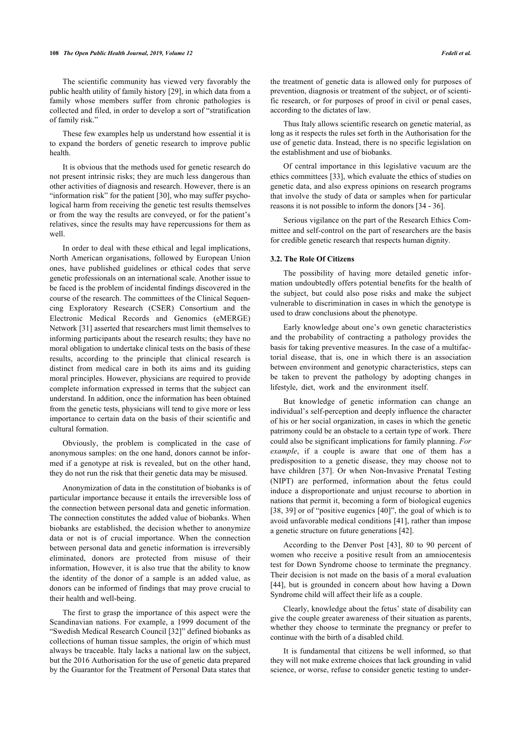#### **108** *The Open Public Health Journal, 2019, Volume 12 Fedeli et al.*

The scientific community has viewed very favorably the public health utility of family history [\[29](#page-6-23)], in which data from a family whose members suffer from chronic pathologies is collected and filed, in order to develop a sort of "stratification of family risk."

These few examples help us understand how essential it is to expand the borders of genetic research to improve public health.

It is obvious that the methods used for genetic research do not present intrinsic risks; they are much less dangerous than other activities of diagnosis and research. However, there is an "information risk" for the patient [[30\]](#page-6-24), who may suffer psychological harm from receiving the genetic test results themselves or from the way the results are conveyed, or for the patient's relatives, since the results may have repercussions for them as well.

In order to deal with these ethical and legal implications, North American organisations, followed by European Union ones, have published guidelines or ethical codes that serve genetic professionals on an international scale. Another issue to be faced is the problem of incidental findings discovered in the course of the research. The committees of the Clinical Sequencing Exploratory Research (CSER) Consortium and the Electronic Medical Records and Genomics (eMERGE) Network [[31\]](#page-6-25) asserted that researchers must limit themselves to informing participants about the research results; they have no moral obligation to undertake clinical tests on the basis of these results, according to the principle that clinical research is distinct from medical care in both its aims and its guiding moral principles. However, physicians are required to provide complete information expressed in terms that the subject can understand. In addition, once the information has been obtained from the genetic tests, physicians will tend to give more or less importance to certain data on the basis of their scientific and cultural formation.

Obviously, the problem is complicated in the case of anonymous samples: on the one hand, donors cannot be informed if a genotype at risk is revealed, but on the other hand, they do not run the risk that their genetic data may be misused.

Anonymization of data in the constitution of biobanks is of particular importance because it entails the irreversible loss of the connection between personal data and genetic information. The connection constitutes the added value of biobanks. When biobanks are established, the decision whether to anonymize data or not is of crucial importance. When the connection between personal data and genetic information is irreversibly eliminated, donors are protected from misuse of their information, However, it is also true that the ability to know the identity of the donor of a sample is an added value, as donors can be informed of findings that may prove crucial to their health and well-being.

The first to grasp the importance of this aspect were the Scandinavian nations. For example, a 1999 document of the "Swedish Medical Research Council [[32\]](#page-6-26)" defined biobanks as collections of human tissue samples, the origin of which must always be traceable. Italy lacks a national law on the subject, but the 2016 Authorisation for the use of genetic data prepared by the Guarantor for the Treatment of Personal Data states that

the treatment of genetic data is allowed only for purposes of prevention, diagnosis or treatment of the subject, or of scientific research, or for purposes of proof in civil or penal cases, according to the dictates of law.

Thus Italy allows scientific research on genetic material, as long as it respects the rules set forth in the Authorisation for the use of genetic data. Instead, there is no specific legislation on the establishment and use of biobanks.

Of central importance in this legislative vacuum are the ethics committees [\[33](#page-6-6)], which evaluate the ethics of studies on genetic data, and also express opinions on research programs that involve the study of data or samples when for particular reasons it is not possible to inform the donors [\[34](#page-6-27) - [36\]](#page-6-28).

Serious vigilance on the part of the Research Ethics Committee and self-control on the part of researchers are the basis for credible genetic research that respects human dignity.

#### **3.2. The Role Of Citizens**

The possibility of having more detailed genetic information undoubtedly offers potential benefits for the health of the subject, but could also pose risks and make the subject vulnerable to discrimination in cases in which the genotype is used to draw conclusions about the phenotype.

Early knowledge about one's own genetic characteristics and the probability of contracting a pathology provides the basis for taking preventive measures. In the case of a multifactorial disease, that is, one in which there is an association between environment and genotypic characteristics, steps can be taken to prevent the pathology by adopting changes in lifestyle, diet, work and the environment itself.

But knowledge of genetic information can change an individual's self-perception and deeply influence the character of his or her social organization, in cases in which the genetic patrimony could be an obstacle to a certain type of work. There could also be significant implications for family planning. *For example*, if a couple is aware that one of them has a predisposition to a genetic disease, they may choose not to have children [\[37\]](#page-6-29). Or when Non-Invasive Prenatal Testing (NIPT) are performed, information about the fetus could induce a disproportionate and unjust recourse to abortion in nations that permit it, becoming a form of biological eugenics [[38](#page-6-30), [39](#page-6-31)] or of "positive eugenics [[40\]](#page-6-32)", the goal of which is to avoid unfavorable medical conditions [\[41](#page-6-12)], rather than impose a genetic structure on future generations [[42\]](#page-6-13).

According to the Denver Post[[43\]](#page-6-14), 80 to 90 percent of women who receive a positive result from an amniocentesis test for Down Syndrome choose to terminate the pregnancy. Their decision is not made on the basis of a moral evaluation [[44](#page-6-33)], but is grounded in concern about how having a Down Syndrome child will affect their life as a couple.

Clearly, knowledge about the fetus' state of disability can give the couple greater awareness of their situation as parents, whether they choose to terminate the pregnancy or prefer to continue with the birth of a disabled child.

It is fundamental that citizens be well informed, so that they will not make extreme choices that lack grounding in valid science, or worse, refuse to consider genetic testing to under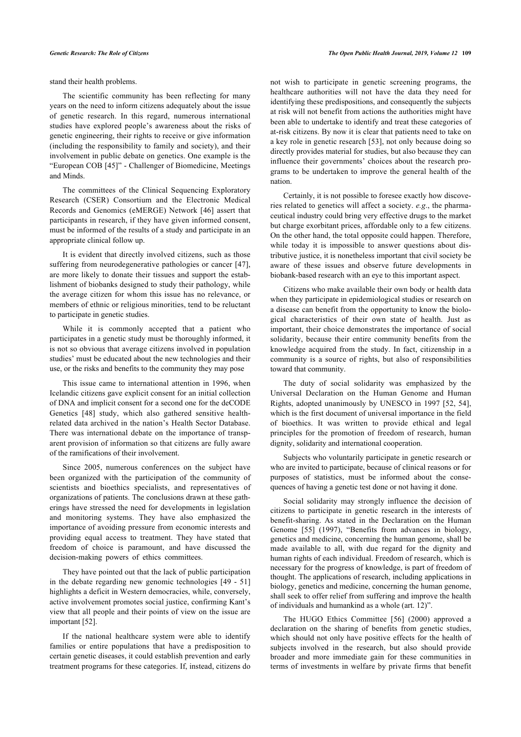stand their health problems.

The scientific community has been reflecting for many years on the need to inform citizens adequately about the issue of genetic research. In this regard, numerous international studies have explored people's awareness about the risks of genetic engineering, their rights to receive or give information (including the responsibility to family and society), and their involvement in public debate on genetics. One example is the "European COB [[45](#page-6-16)]" - Challenger of Biomedicine, Meetings and Minds.

The committees of the Clinical Sequencing Exploratory Research (CSER) Consortium and the Electronic Medical Records and Genomics (eMERGE) Network [\[46](#page-6-34)] assert that participants in research, if they have given informed consent, must be informed of the results of a study and participate in an appropriate clinical follow up.

It is evident that directly involved citizens, such as those suffering from neurodegenerative pathologies or cancer [[47\]](#page-6-35), are more likely to donate their tissues and support the establishment of biobanks designed to study their pathology, while the average citizen for whom this issue has no relevance, or members of ethnic or religious minorities, tend to be reluctant to participate in genetic studies.

While it is commonly accepted that a patient who participates in a genetic study must be thoroughly informed, it is not so obvious that average citizens involved in population studies' must be educated about the new technologies and their use, or the risks and benefits to the community they may pose

This issue came to international attention in 1996, when Icelandic citizens gave explicit consent for an initial collection of DNA and implicit consent for a second one for the deCODE Genetics[[48\]](#page-6-36) study, which also gathered sensitive healthrelated data archived in the nation's Health Sector Database. There was international debate on the importance of transparent provision of information so that citizens are fully aware of the ramifications of their involvement.

Since 2005, numerous conferences on the subject have been organized with the participation of the community of scientists and bioethics specialists, and representatives of organizations of patients. The conclusions drawn at these gatherings have stressed the need for developments in legislation and monitoring systems. They have also emphasized the importance of avoiding pressure from economic interests and providing equal access to treatment. They have stated that freedom of choice is paramount, and have discussed the decision-making powers of ethics committees.

They have pointed out that the lack of public participation in the debate regarding new genomic technologies [[49](#page-7-0) - [51](#page-7-1)] highlights a deficit in Western democracies, while, conversely, active involvement promotes social justice, confirming Kant's view that all people and their points of view on the issue are important [[52\]](#page-7-2).

If the national healthcare system were able to identify families or entire populations that have a predisposition to certain genetic diseases, it could establish prevention and early treatment programs for these categories. If, instead, citizens do not wish to participate in genetic screening programs, the healthcare authorities will not have the data they need for identifying these predispositions, and consequently the subjects at risk will not benefit from actions the authorities might have been able to undertake to identify and treat these categories of at-risk citizens. By now it is clear that patients need to take on a key role in genetic research [\[53\]](#page-7-3), not only because doing so directly provides material for studies, but also because they can influence their governments' choices about the research programs to be undertaken to improve the general health of the nation.

Certainly, it is not possible to foresee exactly how discoveries related to genetics will affect a society. *e.g*., the pharmaceutical industry could bring very effective drugs to the market but charge exorbitant prices, affordable only to a few citizens. On the other hand, the total opposite could happen. Therefore, while today it is impossible to answer questions about distributive justice, it is nonetheless important that civil society be aware of these issues and observe future developments in biobank-based research with an eye to this important aspect.

Citizens who make available their own body or health data when they participate in epidemiological studies or research on a disease can benefit from the opportunity to know the biological characteristics of their own state of health. Just as important, their choice demonstrates the importance of social solidarity, because their entire community benefits from the knowledge acquired from the study. In fact, citizenship in a community is a source of rights, but also of responsibilities toward that community.

The duty of social solidarity was emphasized by the Universal Declaration on the Human Genome and Human Rights, adopted unanimously by UNESCO in 1997 [\[52](#page-7-2), [54](#page-7-4)], which is the first document of universal importance in the field of bioethics. It was written to provide ethical and legal principles for the promotion of freedom of research, human dignity, solidarity and international cooperation.

Subjects who voluntarily participate in genetic research or who are invited to participate, because of clinical reasons or for purposes of statistics, must be informed about the consequences of having a genetic test done or not having it done.

Social solidarity may strongly influence the decision of citizens to participate in genetic research in the interests of benefit-sharing. As stated in the Declaration on the Human Genome[[55\]](#page-7-5) (1997), "Benefits from advances in biology, genetics and medicine, concerning the human genome, shall be made available to all, with due regard for the dignity and human rights of each individual. Freedom of research, which is necessary for the progress of knowledge, is part of freedom of thought. The applications of research, including applications in biology, genetics and medicine, concerning the human genome, shall seek to offer relief from suffering and improve the health of individuals and humankind as a whole (art. 12)".

The HUGO Ethics Committee[[56](#page-7-6)] (2000) approved a declaration on the sharing of benefits from genetic studies, which should not only have positive effects for the health of subjects involved in the research, but also should provide broader and more immediate gain for these communities in terms of investments in welfare by private firms that benefit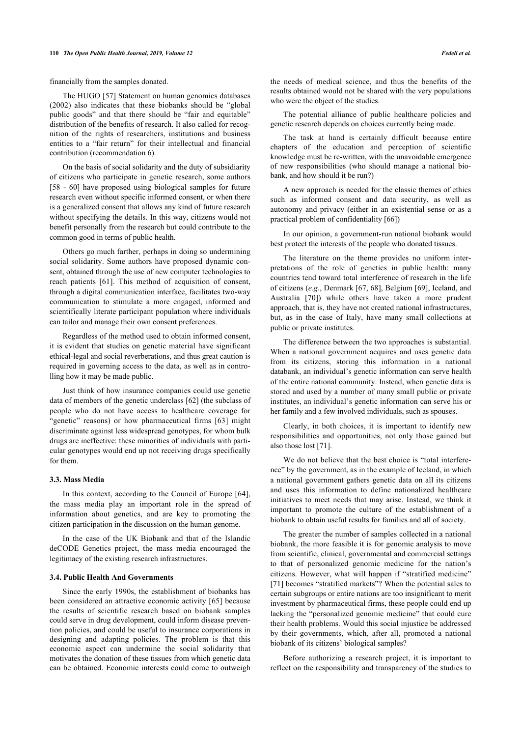financially from the samples donated.

The HUGO [\[57\]](#page-7-7) Statement on human genomics databases (2002) also indicates that these biobanks should be "global public goods" and that there should be "fair and equitable" distribution of the benefits of research. It also called for recognition of the rights of researchers, institutions and business entities to a "fair return" for their intellectual and financial contribution (recommendation 6).

On the basis of social solidarity and the duty of subsidiarity of citizens who participate in genetic research, some authors [[58](#page-7-8) - [60](#page-7-9)] have proposed using biological samples for future research even without specific informed consent, or when there is a generalized consent that allows any kind of future research without specifying the details. In this way, citizens would not benefit personally from the research but could contribute to the common good in terms of public health.

Others go much farther, perhaps in doing so undermining social solidarity. Some authors have proposed dynamic consent, obtained through the use of new computer technologies to reach patients[[61\]](#page-7-0). This method of acquisition of consent, through a digital communication interface, facilitates two-way communication to stimulate a more engaged, informed and scientifically literate participant population where individuals can tailor and manage their own consent preferences.

Regardless of the method used to obtain informed consent, it is evident that studies on genetic material have significant ethical-legal and social reverberations, and thus great caution is required in governing access to the data, as well as in controlling how it may be made public.

Just think of how insurance companies could use genetic data of members of the genetic underclass [\[62](#page-7-10)] (the subclass of people who do not have access to healthcare coverage for "genetic"reasons) or how pharmaceutical firms [[63\]](#page-7-11) might discriminate against less widespread genotypes, for whom bulk drugs are ineffective: these minorities of individuals with particular genotypes would end up not receiving drugs specifically for them.

### **3.3. Mass Media**

In this context, according to the Council of Europe [[64\]](#page-7-12), the mass media play an important role in the spread of information about genetics, and are key to promoting the citizen participation in the discussion on the human genome.

In the case of the UK Biobank and that of the Islandic deCODE Genetics project, the mass media encouraged the legitimacy of the existing research infrastructures.

#### **3.4. Public Health And Governments**

Since the early 1990s, the establishment of biobanks has been considered an attractive economic activity [[65](#page-7-13)] because the results of scientific research based on biobank samples could serve in drug development, could inform disease prevention policies, and could be useful to insurance corporations in designing and adapting policies. The problem is that this economic aspect can undermine the social solidarity that motivates the donation of these tissues from which genetic data can be obtained. Economic interests could come to outweigh

the needs of medical science, and thus the benefits of the results obtained would not be shared with the very populations who were the object of the studies.

The potential alliance of public healthcare policies and genetic research depends on choices currently being made.

The task at hand is certainly difficult because entire chapters of the education and perception of scientific knowledge must be re-written, with the unavoidable emergence of new responsibilities (who should manage a national biobank, and how should it be run?)

A new approach is needed for the classic themes of ethics such as informed consent and data security, as well as autonomy and privacy (either in an existential sense or as a practical problem of confidentiality [[66\]](#page-7-14))

In our opinion, a government-run national biobank would best protect the interests of the people who donated tissues.

The literature on the theme provides no uniform interpretations of the role of genetics in public health: many countries tend toward total interference of research in the life of citizens (*e.g*., Denmark [[67,](#page-7-15) [68](#page-7-16)], Belgium [\[69](#page-7-17)], Iceland, and Australia[[70\]](#page-7-18)) while others have taken a more prudent approach, that is, they have not created national infrastructures, but, as in the case of Italy, have many small collections at public or private institutes.

The difference between the two approaches is substantial. When a national government acquires and uses genetic data from its citizens, storing this information in a national databank, an individual's genetic information can serve health of the entire national community. Instead, when genetic data is stored and used by a number of many small public or private institutes, an individual's genetic information can serve his or her family and a few involved individuals, such as spouses.

Clearly, in both choices, it is important to identify new responsibilities and opportunities, not only those gained but also those lost [\[71](#page-7-7)].

We do not believe that the best choice is "total interference" by the government, as in the example of Iceland, in which a national government gathers genetic data on all its citizens and uses this information to define nationalized healthcare initiatives to meet needs that may arise. Instead, we think it important to promote the culture of the establishment of a biobank to obtain useful results for families and all of society.

The greater the number of samples collected in a national biobank, the more feasible it is for genomic analysis to move from scientific, clinical, governmental and commercial settings to that of personalized genomic medicine for the nation's citizens. However, what will happen if "stratified medicine" [[71](#page-7-7)] becomes "stratified markets"? When the potential sales to certain subgroups or entire nations are too insignificant to merit investment by pharmaceutical firms, these people could end up lacking the "personalized genomic medicine" that could cure their health problems. Would this social injustice be addressed by their governments, which, after all, promoted a national biobank of its citizens' biological samples?

Before authorizing a research project, it is important to reflect on the responsibility and transparency of the studies to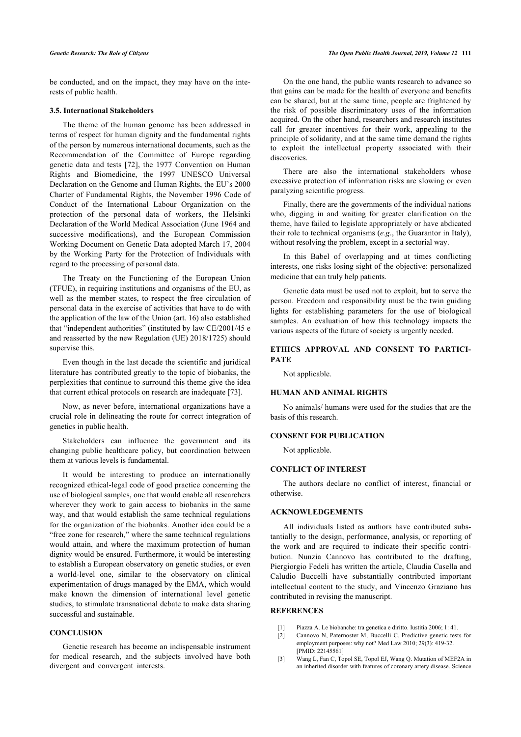be conducted, and on the impact, they may have on the interests of public health.

### **3.5. International Stakeholders**

The theme of the human genome has been addressed in terms of respect for human dignity and the fundamental rights of the person by numerous international documents, such as the Recommendation of the Committee of Europe regarding genetic data and tests [[72\]](#page-7-19), the 1977 Convention on Human Rights and Biomedicine, the 1997 UNESCO Universal Declaration on the Genome and Human Rights, the EU's 2000 Charter of Fundamental Rights, the November 1996 Code of Conduct of the International Labour Organization on the protection of the personal data of workers, the Helsinki Declaration of the World Medical Association (June 1964 and successive modifications), and the European Commission Working Document on Genetic Data adopted March 17, 2004 by the Working Party for the Protection of Individuals with regard to the processing of personal data.

The Treaty on the Functioning of the European Union (TFUE), in requiring institutions and organisms of the EU, as well as the member states, to respect the free circulation of personal data in the exercise of activities that have to do with the application of the law of the Union (art. 16) also established that "independent authorities" (instituted by law CE/2001/45 e and reasserted by the new Regulation (UE) 2018/1725) should supervise this.

Even though in the last decade the scientific and juridical literature has contributed greatly to the topic of biobanks, the perplexities that continue to surround this theme give the idea that current ethical protocols on research are inadequate [\[73](#page-7-20)].

Now, as never before, international organizations have a crucial role in delineating the route for correct integration of genetics in public health.

Stakeholders can influence the government and its changing public healthcare policy, but coordination between them at various levels is fundamental.

It would be interesting to produce an internationally recognized ethical-legal code of good practice concerning the use of biological samples, one that would enable all researchers wherever they work to gain access to biobanks in the same way, and that would establish the same technical regulations for the organization of the biobanks. Another idea could be a "free zone for research," where the same technical regulations would attain, and where the maximum protection of human dignity would be ensured. Furthermore, it would be interesting to establish a European observatory on genetic studies, or even a world-level one, similar to the observatory on clinical experimentation of drugs managed by the EMA, which would make known the dimension of international level genetic studies, to stimulate transnational debate to make data sharing successful and sustainable.

### <span id="page-5-1"></span><span id="page-5-0"></span>**CONCLUSION**

<span id="page-5-2"></span>Genetic research has become an indispensable instrument for medical research, and the subjects involved have both divergent and convergent interests.

On the one hand, the public wants research to advance so that gains can be made for the health of everyone and benefits can be shared, but at the same time, people are frightened by the risk of possible discriminatory uses of the information acquired. On the other hand, researchers and research institutes call for greater incentives for their work, appealing to the principle of solidarity, and at the same time demand the rights to exploit the intellectual property associated with their discoveries.

There are also the international stakeholders whose excessive protection of information risks are slowing or even paralyzing scientific progress.

Finally, there are the governments of the individual nations who, digging in and waiting for greater clarification on the theme, have failed to legislate appropriately or have abdicated their role to technical organisms (*e.g*., the Guarantor in Italy), without resolving the problem, except in a sectorial way.

In this Babel of overlapping and at times conflicting interests, one risks losing sight of the objective: personalized medicine that can truly help patients.

Genetic data must be used not to exploit, but to serve the person. Freedom and responsibility must be the twin guiding lights for establishing parameters for the use of biological samples. An evaluation of how this technology impacts the various aspects of the future of society is urgently needed.

### **ETHICS APPROVAL AND CONSENT TO PARTICI-PATE**

Not applicable.

### **HUMAN AND ANIMAL RIGHTS**

No animals/ humans were used for the studies that are the basis of this research.

### **CONSENT FOR PUBLICATION**

Not applicable.

#### **CONFLICT OF INTEREST**

The authors declare no conflict of interest, financial or otherwise.

### **ACKNOWLEDGEMENTS**

All individuals listed as authors have contributed substantially to the design, performance, analysis, or reporting of the work and are required to indicate their specific contribution. Nunzia Cannovo has contributed to the drafting, Piergiorgio Fedeli has written the article, Claudia Casella and Caludio Buccelli have substantially contributed important intellectual content to the study, and Vincenzo Graziano has contributed in revising the manuscript.

#### **REFERENCES**

- [1] Piazza A. Le biobanche: tra genetica e diritto. Iustitia 2006; 1: 41.
- [2] Cannovo N, Paternoster M, Buccelli C. Predictive genetic tests for employment purposes: why not? Med Law 2010; 29(3): 419-32. [PMID: [22145561\]](http://www.ncbi.nlm.nih.gov/pubmed/22145561)
- [3] Wang L, Fan C, Topol SE, Topol EJ, Wang Q. Mutation of MEF2A in an inherited disorder with features of coronary artery disease. Science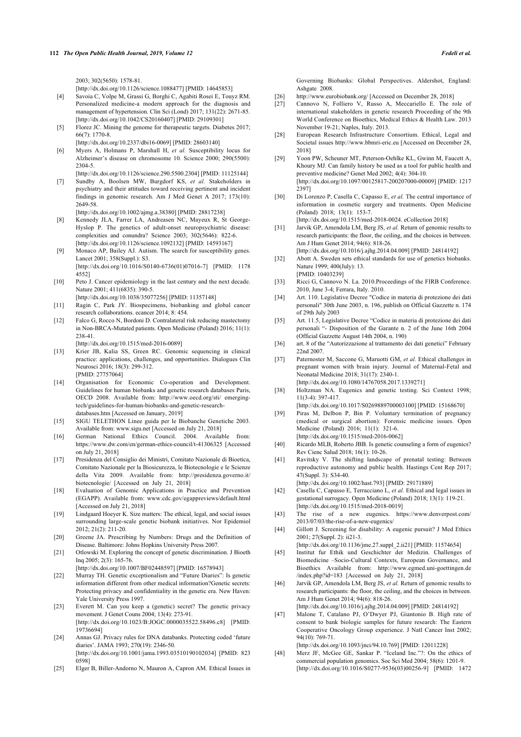2003; 302(5650): 1578-81.

[\[http://dx.doi.org/10.1126/science.1088477](http://dx.doi.org/10.1126/science.1088477)] [PMID: [14645853\]](http://www.ncbi.nlm.nih.gov/pubmed/14645853)

- <span id="page-6-21"></span><span id="page-6-0"></span>[4] Savoia C, Volpe M, Grassi G, Borghi C, Agabiti Rosei E, Touyz RM. Personalized medicine-a modern approach for the diagnosis and management of hypertension. Clin Sci (Lond) 2017; 131(22): 2671-85. [\[http://dx.doi.org/10.1042/CS20160407\]](http://dx.doi.org/10.1042/CS20160407) [PMID: [29109301](http://www.ncbi.nlm.nih.gov/pubmed/29109301)]
- <span id="page-6-22"></span><span id="page-6-1"></span>[5] Florez JC. Mining the genome for therapeutic targets. Diabetes 2017; 66(7): 1770-8. [\[http://dx.doi.org/10.2337/dbi16-0069](http://dx.doi.org/10.2337/dbi16-0069)] [PMID: [28603140](http://www.ncbi.nlm.nih.gov/pubmed/28603140)]
- <span id="page-6-23"></span><span id="page-6-2"></span>[6] Myers A, Holmans P, Marshall H, *et al.* Susceptibility locus for Alzheimer's disease on chromosome 10. Science 2000; 290(5500): 2304-5.
- <span id="page-6-24"></span><span id="page-6-3"></span>[\[http://dx.doi.org/10.1126/science.290.5500.2304\]](http://dx.doi.org/10.1126/science.290.5500.2304) [PMID: [11125144](http://www.ncbi.nlm.nih.gov/pubmed/11125144)] [7] Sundby A, Boolsen MW, Burgdorf KS, *et al.* Stakeholders in psychiatry and their attitudes toward receiving pertinent and incident findings in genomic research. Am J Med Genet A 2017; 173(10): 2649-58.

[\[http://dx.doi.org/10.1002/ajmg.a.38380](http://dx.doi.org/10.1002/ajmg.a.38380)] [PMID: [28817238\]](http://www.ncbi.nlm.nih.gov/pubmed/28817238)

- <span id="page-6-25"></span><span id="page-6-4"></span>[8] Kennedy JLA, Farrer LA, Andreasen NC, Mayeux R, St George-Hyslop P. The genetics of adult-onset neuropsychiatric disease: complexities and conundra? Science 2003; 302(5646): 822-6. [\[http://dx.doi.org/10.1126/science.1092132](http://dx.doi.org/10.1126/science.1092132)] [PMID: [14593167\]](http://www.ncbi.nlm.nih.gov/pubmed/14593167)
- <span id="page-6-5"></span>[9] Monaco AP, Bailey AJ. Autism. The search for susceptibility genes. Lancet 2001; 358(Suppl.): S3. [\[http://dx.doi.org/10.1016/S0140-6736\(01\)07016-7](http://dx.doi.org/10.1016/S0140-6736(01)07016-7)] [PMID: [1178](http://www.ncbi.nlm.nih.gov/pubmed/1178%204552)
- <span id="page-6-26"></span><span id="page-6-6"></span>[4552\]](http://www.ncbi.nlm.nih.gov/pubmed/1178%204552) [10] Peto J. Cancer epidemiology in the last century and the next decade. Nature 2001; 411(6835): 390-5.
- [\[http://dx.doi.org/10.1038/35077256](http://dx.doi.org/10.1038/35077256)] [PMID: [11357148\]](http://www.ncbi.nlm.nih.gov/pubmed/11357148)
- <span id="page-6-27"></span>[11] Ragin C, Park JY. Biospecimens, biobanking and global cancer research collaborations. ecancer 2014; 8: 454.
- <span id="page-6-7"></span>[12] Falco G, Rocco N, Bordoni D. Contralateral risk reducing mastectomy in Non-BRCA-Mutated patients. Open Medicine (Poland) 2016; 11(1): 238-41.
	- [\[http://dx.doi.org/10.1515/med-2016-0089\]](http://dx.doi.org/10.1515/med-2016-0089)
- <span id="page-6-29"></span><span id="page-6-28"></span><span id="page-6-8"></span>[13] Krier JB, Kalia SS, Green RC. Genomic sequencing in clinical practice: applications, challenges, and opportunities. Dialogues Clin Neurosci 2016; 18(3): 299-312. [PMID: [27757064](http://www.ncbi.nlm.nih.gov/pubmed/27757064)]
- <span id="page-6-30"></span><span id="page-6-9"></span>[14] Organisation for Economic Co-operation and Development. Guidelines for human biobanks and genetic research databases Paris, OECD 2008. Available from: [http://www.oecd.org/sti/ emerging](http://www.oecd.org/sti/emerging-tech/guidelines-for-human-biobanks-and-genetic-research-databases.htm)[tech/guidelines-for-human-biobanks-and-genetic-research](http://www.oecd.org/sti/emerging-tech/guidelines-for-human-biobanks-and-genetic-research-databases.htm)[databases.htm](http://www.oecd.org/sti/emerging-tech/guidelines-for-human-biobanks-and-genetic-research-databases.htm) [Accessed on January, 2019]
- <span id="page-6-31"></span><span id="page-6-10"></span>[15] SIGU TELETHON Linee guida per le Biobanche Genetiche 2003. Available from: [www.sigu.net](http://www.sigu.net) [Accessed on July 21, 2018]
- <span id="page-6-32"></span><span id="page-6-11"></span>[16] German National Ethics Council. 2004. Available from: <https://www.dw.com/en/german-ethics-council/t-41306325> [Accessed on July 21, 2018]
- <span id="page-6-12"></span>[17] Presidenza del Consiglio dei Ministri, Comitato Nazionale di Bioetica, Comitato Nazionale per la Biosicurezza, le Biotecnologie e le Scienze della Vita 2009. Available from: [http://presidenza.governo.it/](http://presidenza.governo.it/biotecnologie/) [biotecnologie/](http://presidenza.governo.it/biotecnologie/) [Accessed on July 21, 2018]
- <span id="page-6-13"></span>[18] Evaluation of Genomic Applications in Practice and Prevention (EGAPP). Available from: [www.cdc.gov/egappreviews/default.html](http://www.cdc.gov/egappreviews/default.html) [Accessed on July 21, 2018]
- <span id="page-6-14"></span>[19] Lindgaard Hoeyer K. Size matters: The ethical, legal, and social issues surrounding large-scale genetic biobank initiatives. Nor Epidemiol 2012; 21(2): 211-20.
- <span id="page-6-33"></span><span id="page-6-15"></span>[20] Greene JA. Prescribing by Numbers: Drugs and the Definition of Disease. Baltimore: Johns Hopkins University Press 2007.
- <span id="page-6-16"></span>[21] Otlowski M. Exploring the concept of genetic discrimination. J Bioeth Inq 2005; 2(3): 165-76.

[\[http://dx.doi.org/10.1007/BF02448597\]](http://dx.doi.org/10.1007/BF02448597) [PMID: [16578943](http://www.ncbi.nlm.nih.gov/pubmed/16578943)]

- <span id="page-6-34"></span><span id="page-6-17"></span>[22] Murray TH. Genetic exceptionalism and "Future Diaries": Is genetic information different from other medical information?Genetic secrets: Protecting privacy and confidentiality in the genetic era. New Haven: Yale University Press 1997.
- <span id="page-6-35"></span><span id="page-6-18"></span>[23] Everett M. Can you keep a (genetic) secret? The genetic privacy movement. J Genet Couns 2004; 13(4): 273-91. [\[http://dx.doi.org/10.1023/B:JOGC.0000035522.58496.c8\]](http://dx.doi.org/10.1023/B:JOGC.0000035522.58496.c8) [PMID: [19736694\]](http://www.ncbi.nlm.nih.gov/pubmed/19736694)
- <span id="page-6-36"></span><span id="page-6-19"></span>[24] Annas GJ. Privacy rules for DNA databanks. Protecting coded 'future diaries'. JAMA 1993; 270(19): 2346-50. [\[http://dx.doi.org/10.1001/jama.1993.03510190102034\]](http://dx.doi.org/10.1001/jama.1993.03510190102034) [PMID: [823](http://www.ncbi.nlm.nih.gov/pubmed/823%200598) [0598\]](http://www.ncbi.nlm.nih.gov/pubmed/823%200598)
- <span id="page-6-20"></span>[25] Elger B, Biller-Andorno N, Mauron A, Capron AM. Ethical Issues in

Governing Biobanks: Global Perspectives. Aldershot, England: Ashgate 2008.

- [26] <http://www.eurobiobank.org/>[Accessed on December 28, 2018]
- [27] Cannovo N, Folliero V, Russo A, Meccariello E. The role of international stakeholders in genetic research Proceeding of the 9th World Conference on Bioethics, Medical Ethics & Health Law. 2013 November 19-21; Naples, Italy. 2013.
- [28] European Research Infrastructure Consortium. Ethical, Legal and Societal issues<http://www.bbmri-eric.eu> [Accessed on December 28, 2018]
- [29] Yoon PW, Scheuner MT, Peterson-Oehlke KL, Gwinn M, Faucett A, Khoury MJ. Can family history be used as a tool for public health and preventive medicine? Genet Med 2002; 4(4): 304-10. [\[http://dx.doi.org/10.1097/00125817-200207000-00009](http://dx.doi.org/10.1097/00125817-200207000-00009)] [PMID: [1217](http://www.ncbi.nlm.nih.gov/pubmed/1217%202397) [2397\]](http://www.ncbi.nlm.nih.gov/pubmed/1217%202397)
- [30] Di Lorenzo P, Casella C, Capasso E, *et al.* The central importance of information in cosmetic surgery and treatments. Open Medicine (Poland) 2018; 13(1): 153-7.

[\[http://dx.doi.org/10.1515/med-2018-0024. eCollection 2018\]](http://dx.doi.org/10.1515/med-2018-0024.%20eCollection%202018)

- [31] Jarvik GP, Amendola LM, Berg JS, *et al.* Return of genomic results to research participants: the floor, the ceiling, and the choices in between. Am J Hum Genet 2014; 94(6): 818-26.
- [\[http://dx.doi.org/10.1016/j.ajhg.2014.04.009\]](http://dx.doi.org/10.1016/j.ajhg.2014.04.009) [PMID: [24814192\]](http://www.ncbi.nlm.nih.gov/pubmed/24814192) [32] Abott A. Sweden sets ethical standards for use of genetics biobanks.
- Nature 1999; 400(July): 13. [PMID: [10403239\]](http://www.ncbi.nlm.nih.gov/pubmed/10403239)
- [33] Ricci G, Cannovo N. La. 2010. Proceedings of the FIRB Conference. 2010, June 3-4; Ferrara, Italy. 2010.
- [34] Art. 110. Legislative Decree "Codice in materia di protezione dei dati personali" 30th June 2003, n. 196, publish on Official Gazzette n. 174 of 29th July 2003
- [35] Art. 11.5, Legislative Decree "Codice in materia di protezione dei dati personali "- Disposition of the Garante n. 2 of the June 16th 2004 (Official Gazzette August 14th 2004, n. 190)
- [36] art. 8 of the "Autorizzazione al trattamento dei dati genetici" February 22nd 2007.
- [37] Paternoster M, Saccone G, Maruotti GM, *et al.* Ethical challenges in pregnant women with brain injury. Journal of Maternal-Fetal and Neonatal Medicine 2018; 31(17): 2340-1.

[\[http://dx.doi.org/10.1080/14767058.2017.1339271](http://dx.doi.org/10.1080/14767058.2017.1339271)] [38] Holtzman NA. Eugenics and genetic testing. Sci Context 1998;

- 11(3-4): 397-417. [\[http://dx.doi.org/10.1017/S0269889700003100](http://dx.doi.org/10.1017/S0269889700003100)] [PMID: [15168670\]](http://www.ncbi.nlm.nih.gov/pubmed/15168670)
- [39] Piras M, Delbon P, Bin P. Voluntary termination of pregnancy (medical or surgical abortion): Forensic medicine issues. Open
- Medicine (Poland) 2016; 11(1): 321-6. [\[http://dx.doi.org/10.1515/med-2016-0062](http://dx.doi.org/10.1515/med-2016-0062)] [40] Ricardo MLB, Roberto JBB. Is genetic counseling a form of eugenics?
- Rev Cienc Salud 2018; 16(1): 10-26.
- [41] Ravitsky V. The shifting landscape of prenatal testing: Between reproductive autonomy and public health. Hastings Cent Rep 2017; 47(Suppl. 3): S34-40.

[\[http://dx.doi.org/10.1002/hast.793\]](http://dx.doi.org/10.1002/hast.793) [PMID: [29171889\]](http://www.ncbi.nlm.nih.gov/pubmed/29171889) [42] Casella C, Capasso E, Terracciano L, et al. Ethical and legal issues in gestational surrogacy. Open Medicine (Poland) 2018; 13(1): 119-21.

- [\[http://dx.doi.org/10.1515/med-2018-0019](http://dx.doi.org/10.1515/med-2018-0019)] [43] The rise of a new eugenics. [https://www.denverpost.com/](https://www.denverpost.com/2013/07/03/the-rise-of-a-new-eugenics/)
- [2013/07/03/the-rise-of-a-new-eugenics/](https://www.denverpost.com/2013/07/03/the-rise-of-a-new-eugenics/)
- [44] Gillott J. Screening for disability: A eugenic pursuit? J Med Ethics 2001; 27(Suppl. 2): ii21-3.
- [\[http://dx.doi.org/10.1136/jme.27.suppl\\_2.ii21](http://dx.doi.org/10.1136/jme.27.suppl_2.ii21)] [PMID: [11574654\]](http://www.ncbi.nlm.nih.gov/pubmed/11574654) [45] Institut fur Ethik und Geschichter der Medizin. Challenges of Biomedicine –Socio-Cultural Contexts, European Governance, and
- Bioethics Available from: [http://www.egmed.uni-goettingen.de](http://www.egmed.uni-goettingen.de/index.php?id=183) [/index.php?id=183](http://www.egmed.uni-goettingen.de/index.php?id=183) [Accessed on July 21, 2018] [46] Jarvik GP, Amendola LM, Berg JS, *et al.* Return of genomic results to
- research participants: the floor, the ceiling, and the choices in between. Am J Hum Genet 2014; 94(6): 818-26. [\[http://dx.doi.org/10.1016/j.ajhg.2014.04.009\]](http://dx.doi.org/10.1016/j.ajhg.2014.04.009) [PMID: [24814192\]](http://www.ncbi.nlm.nih.gov/pubmed/24814192)
- [47] Malone T, Catalano PJ, O'Dwyer PJ, Giantonio B. High rate of consent to bank biologic samples for future research: The Eastern Cooperative Oncology Group experience. J Natl Cancer Inst 2002; 94(10): 769-71.

[\[http://dx.doi.org/10.1093/jnci/94.10.769\]](http://dx.doi.org/10.1093/jnci/94.10.769) [PMID: [12011228\]](http://www.ncbi.nlm.nih.gov/pubmed/12011228)

[48] Merz JF, McGee GE, Sankar P. "Iceland Inc."?: On the ethics of commercial population genomics. Soc Sci Med 2004; 58(6): 1201-9. [\[http://dx.doi.org/10.1016/S0277-9536\(03\)00256-9](http://dx.doi.org/10.1016/S0277-9536(03)00256-9)] [PMID: [1472](http://www.ncbi.nlm.nih.gov/pubmed/1472%203914)